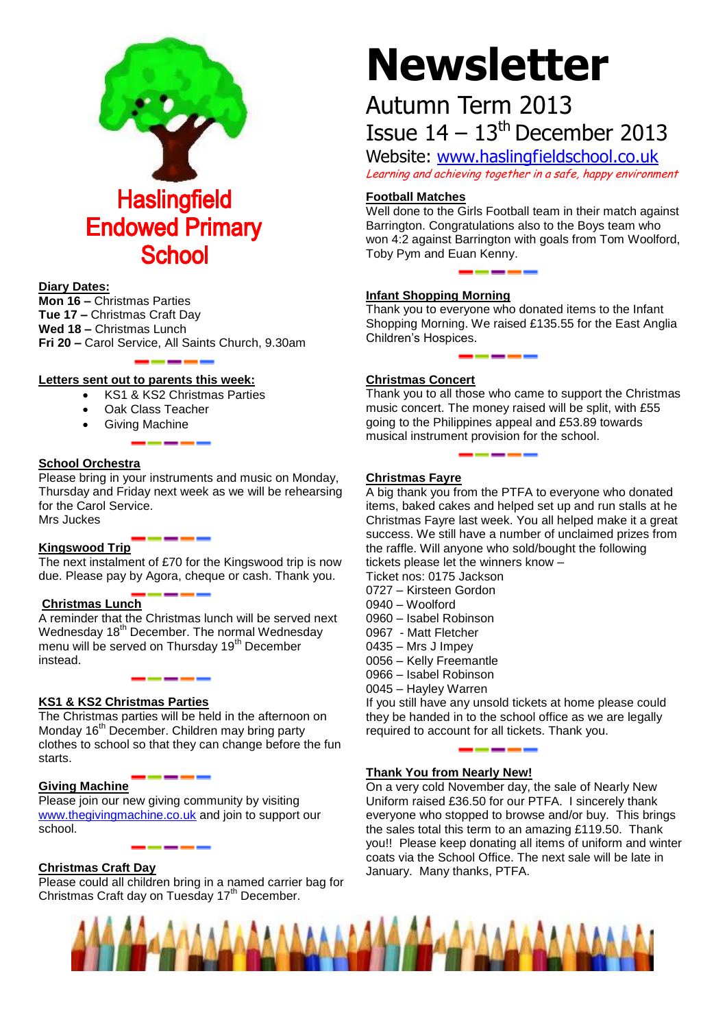

#### **Diary Dates:**

**Mon 16 –** Christmas Parties **Tue 17 –** Christmas Craft Day **Wed 18 –** Christmas Lunch **Fri 20 –** Carol Service, All Saints Church, 9.30am

#### **Letters sent out to parents this week:**

- KS1 & KS2 Christmas Parties
- Oak Class Teacher
- Giving Machine

#### **School Orchestra**

Please bring in your instruments and music on Monday, Thursday and Friday next week as we will be rehearsing for the Carol Service. Mrs Juckes

#### **Kingswood Trip**

The next instalment of £70 for the Kingswood trip is now due. Please pay by Agora, cheque or cash. Thank you.

#### **Christmas Lunch**

A reminder that the Christmas lunch will be served next Wednesday 18<sup>th</sup> December. The normal Wednesday menu will be served on Thursday 19<sup>th</sup> December instead.

#### **KS1 & KS2 Christmas Parties**

The Christmas parties will be held in the afternoon on Monday 16<sup>th</sup> December. Children may bring party clothes to school so that they can change before the fun starts.

#### **Giving Machine**

Please join our new giving community by visiting [www.thegivingmachine.co.uk](http://www.thegivingmachine.co.uk/) and join to support our school.

# **Christmas Craft Day**

Please could all children bring in a named carrier bag for Christmas Craft day on Tuesday 17<sup>th</sup> December.

# **Newsletter**

# Autumn Term 2013 Issue  $14 - 13$ <sup>th</sup> December 2013

Website: [www.haslingfieldschool.co.uk](http://www.haslingfieldschool.co.uk/) Learning and achieving together in a safe, happy environment

### **Football Matches**

Well done to the Girls Football team in their match against Barrington. Congratulations also to the Boys team who won 4:2 against Barrington with goals from Tom Woolford, Toby Pym and Euan Kenny.

# **Infant Shopping Morning**

Thank you to everyone who donated items to the Infant Shopping Morning. We raised £135.55 for the East Anglia Children's Hospices.

#### **Christmas Concert**

Thank you to all those who came to support the Christmas music concert. The money raised will be split, with £55 going to the Philippines appeal and £53.89 towards musical instrument provision for the school.

# **Christmas Fayre**

A big thank you from the PTFA to everyone who donated items, baked cakes and helped set up and run stalls at he Christmas Fayre last week. You all helped make it a great success. We still have a number of unclaimed prizes from the raffle. Will anyone who sold/bought the following tickets please let the winners know –

Ticket nos: 0175 Jackson

- 0727 Kirsteen Gordon
- 0940 Woolford
- 0960 Isabel Robinson
- 0967 Matt Fletcher
- 0435 Mrs J Impey
- 0056 Kelly Freemantle
- 0966 Isabel Robinson
- 0045 Hayley Warren

If you still have any unsold tickets at home please could they be handed in to the school office as we are legally required to account for all tickets. Thank you.

#### **Thank You from Nearly New!**

On a very cold November day, the sale of Nearly New Uniform raised £36.50 for our PTFA. I sincerely thank everyone who stopped to browse and/or buy. This brings the sales total this term to an amazing £119.50. Thank you!! Please keep donating all items of uniform and winter coats via the School Office. The next sale will be late in January. Many thanks, PTFA.